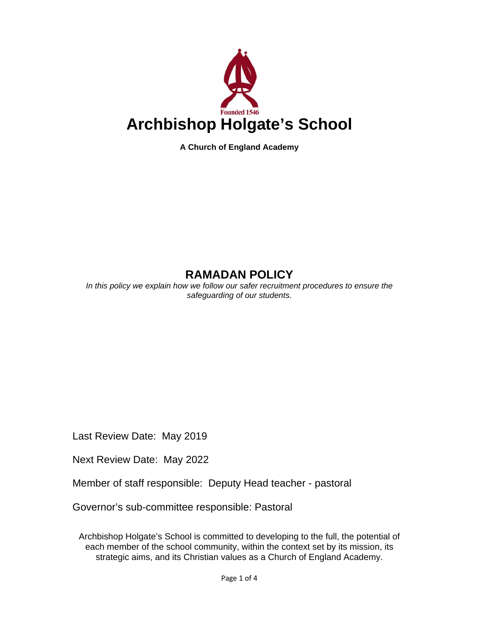

**A Church of England Academy** 

# **RAMADAN POLICY**

*In this policy we explain how we follow our safer recruitment procedures to ensure the safeguarding of our students.*

Last Review Date: May 2019

Next Review Date: May 2022

Member of staff responsible: Deputy Head teacher - pastoral

Governor's sub-committee responsible: Pastoral

Archbishop Holgate's School is committed to developing to the full, the potential of each member of the school community, within the context set by its mission, its strategic aims, and its Christian values as a Church of England Academy.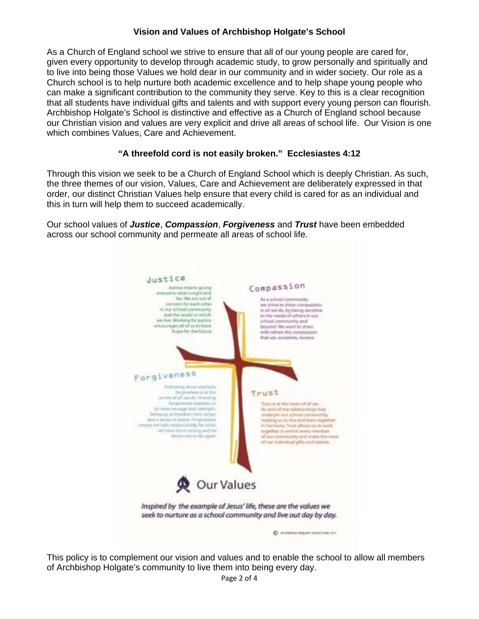### **Vision and Values of Archbishop Holgate's School**

As a Church of England school we strive to ensure that all of our young people are cared for, given every opportunity to develop through academic study, to grow personally and spiritually and to live into being those Values we hold dear in our community and in wider society. Our role as a Church school is to help nurture both academic excellence and to help shape young people who can make a significant contribution to the community they serve. Key to this is a clear recognition that all students have individual gifts and talents and with support every young person can flourish. Archbishop Holgate's School is distinctive and effective as a Church of England school because our Christian vision and values are very explicit and drive all areas of school life. Our Vision is one which combines Values, Care and Achievement.

## **"A threefold cord is not easily broken." Ecclesiastes 4:12**

Through this vision we seek to be a Church of England School which is deeply Christian. As such, the three themes of our vision, Values, Care and Achievement are deliberately expressed in that order, our distinct Christian Values help ensure that every child is cared for as an individual and this in turn will help them to succeed academically.

Our school values of *Justice*, *Compassion*, *Forgiveness* and *Trust* have been embedded across our school community and permeate all areas of school life.



This policy is to complement our vision and values and to enable the school to allow all members of Archbishop Holgate's community to live them into being every day.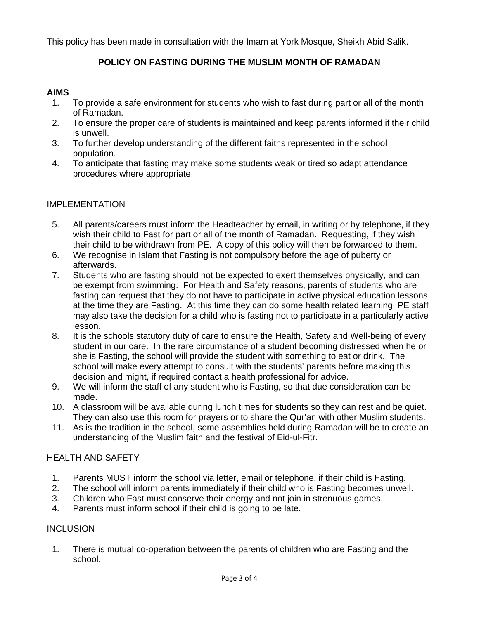This policy has been made in consultation with the Imam at York Mosque, Sheikh Abid Salik.

## **POLICY ON FASTING DURING THE MUSLIM MONTH OF RAMADAN**

#### **AIMS**

- 1. To provide a safe environment for students who wish to fast during part or all of the month of Ramadan.
- 2. To ensure the proper care of students is maintained and keep parents informed if their child is unwell.
- 3. To further develop understanding of the different faiths represented in the school population.
- 4. To anticipate that fasting may make some students weak or tired so adapt attendance procedures where appropriate.

#### IMPLEMENTATION

- 5. All parents/careers must inform the Headteacher by email, in writing or by telephone, if they wish their child to Fast for part or all of the month of Ramadan. Requesting, if they wish their child to be withdrawn from PE. A copy of this policy will then be forwarded to them.
- 6. We recognise in Islam that Fasting is not compulsory before the age of puberty or afterwards.
- 7. Students who are fasting should not be expected to exert themselves physically, and can be exempt from swimming. For Health and Safety reasons, parents of students who are fasting can request that they do not have to participate in active physical education lessons at the time they are Fasting. At this time they can do some health related learning. PE staff may also take the decision for a child who is fasting not to participate in a particularly active lesson.
- 8. It is the schools statutory duty of care to ensure the Health, Safety and Well-being of every student in our care. In the rare circumstance of a student becoming distressed when he or she is Fasting, the school will provide the student with something to eat or drink. The school will make every attempt to consult with the students' parents before making this decision and might, if required contact a health professional for advice.
- 9. We will inform the staff of any student who is Fasting, so that due consideration can be made.
- 10. A classroom will be available during lunch times for students so they can rest and be quiet. They can also use this room for prayers or to share the Qur'an with other Muslim students.
- 11. As is the tradition in the school, some assemblies held during Ramadan will be to create an understanding of the Muslim faith and the festival of Eid-ul-Fitr.

### HEALTH AND SAFETY

- 1. Parents MUST inform the school via letter, email or telephone, if their child is Fasting.
- 2. The school will inform parents immediately if their child who is Fasting becomes unwell.
- 3. Children who Fast must conserve their energy and not join in strenuous games.
- 4. Parents must inform school if their child is going to be late.

#### **INCLUSION**

1. There is mutual co-operation between the parents of children who are Fasting and the school.